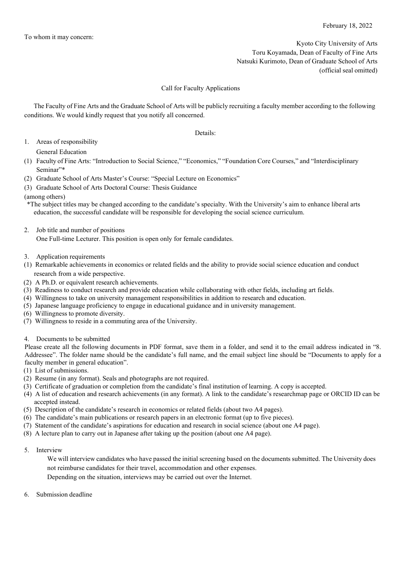Kyoto City University of Arts Toru Koyamada, Dean of Faculty of Fine Arts Natsuki Kurimoto, Dean of Graduate School of Arts (official seal omitted)

## Call for Faculty Applications

The Faculty of Fine Arts and the Graduate School of Arts will be publicly recruiting a faculty member according to the following conditions. We would kindly request that you notify all concerned.

Details:

1. Areas of responsibility

General Education

(1) Faculty of Fine Arts: "Introduction to Social Science," "Economics," "Foundation Core Courses," and "Interdisciplinary Seminar"\*

- (2) Graduate School of Arts Master's Course: "Special Lecture on Economics"
- (3) Graduate School of Arts Doctoral Course: Thesis Guidance

## (among others)

\*The subject titles may be changed according to the candidate's specialty. With the University's aim to enhance liberal arts education, the successful candidate will be responsible for developing the social science curriculum.

2. Job title and number of positions

One Full-time Lecturer. This position is open only for female candidates.

- 3. Application requirements
- (1) Remarkable achievements in economics or related fields and the ability to provide social science education and conduct research from a wide perspective.
- (2) A Ph.D. or equivalent research achievements.
- (3) Readiness to conduct research and provide education while collaborating with other fields, including art fields.
- (4) Willingness to take on university management responsibilities in addition to research and education.
- (5) Japanese language proficiency to engage in educational guidance and in university management.
- (6) Willingness to promote diversity.
- (7) Willingness to reside in a commuting area of the University.
- 4. Documents to be submitted

Please create all the following documents in PDF format, save them in a folder, and send it to the email address indicated in "8. Addressee". The folder name should be the candidate's full name, and the email subject line should be "Documents to apply for a faculty member in general education".

- (1) List of submissions.
- (2) Resume (in any format). Seals and photographs are not required.
- (3) Certificate of graduation or completion from the candidate's final institution of learning. A copy is accepted.
- (4) A list of education and research achievements (in any format). A link to the candidate's researchmap page or ORCID ID can be accepted instead.
- (5) Description of the candidate's research in economics or related fields (about two A4 pages).
- (6) The candidate's main publications or research papers in an electronic format (up to five pieces).
- (7) Statement of the candidate's aspirations for education and research in social science (about one A4 page).
- (8) A lecture plan to carry out in Japanese after taking up the position (about one A4 page).
- 5. Interview

We will interview candidates who have passed the initial screening based on the documents submitted. The University does not reimburse candidates for their travel, accommodation and other expenses.

Depending on the situation, interviews may be carried out over the Internet.

6. Submission deadline